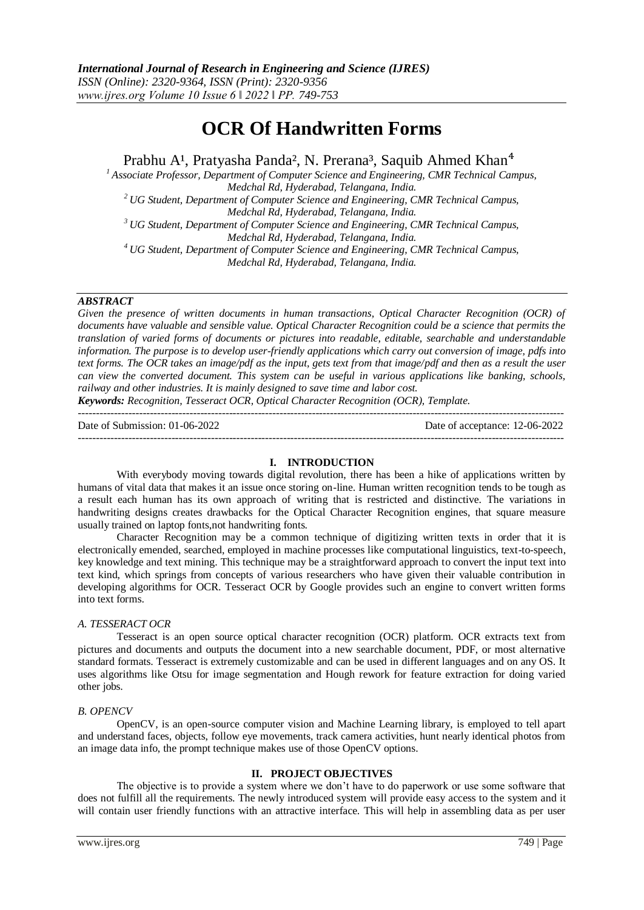# **OCR Of Handwritten Forms**

Prabhu A<sup>1</sup>, Pratyasha Panda<sup>2</sup>, N. Prerana<sup>3</sup>, Saquib Ahmed Khan<sup>4</sup>

*<sup>1</sup>Associate Professor, Department of Computer Science and Engineering, CMR Technical Campus, Medchal Rd, Hyderabad, Telangana, India. <sup>2</sup>UG Student, Department of Computer Science and Engineering, CMR Technical Campus,* 

*Medchal Rd, Hyderabad, Telangana, India.*

*<sup>3</sup>UG Student, Department of Computer Science and Engineering, CMR Technical Campus, Medchal Rd, Hyderabad, Telangana, India.*

*<sup>4</sup>UG Student, Department of Computer Science and Engineering, CMR Technical Campus, Medchal Rd, Hyderabad, Telangana, India.*

# *ABSTRACT*

*Given the presence of written documents in human transactions, Optical Character Recognition (OCR) of documents have valuable and sensible value. Optical Character Recognition could be a science that permits the translation of varied forms of documents or pictures into readable, editable, searchable and understandable information. The purpose is to develop user-friendly applications which carry out conversion of image, pdfs into text forms. The OCR takes an image/pdf as the input, gets text from that image/pdf and then as a result the user can view the converted document. This system can be useful in various applications like banking, schools, railway and other industries. It is mainly designed to save time and labor cost.*

*Keywords: Recognition, Tesseract OCR, Optical Character Recognition (OCR), Template.* ---------------------------------------------------------------------------------------------------------------------------------------

---------------------------------------------------------------------------------------------------------------------------------------

Date of Submission: 01-06-2022 Date of acceptance: 12-06-2022

#### **I. INTRODUCTION**

With everybody moving towards digital revolution, there has been a hike of applications written by humans of vital data that makes it an issue once storing on-line. Human written recognition tends to be tough as a result each human has its own approach of writing that is restricted and distinctive. The variations in handwriting designs creates drawbacks for the Optical Character Recognition engines, that square measure usually trained on laptop fonts,not handwriting fonts.

Character Recognition may be a common technique of digitizing written texts in order that it is electronically emended, searched, employed in machine processes like computational linguistics, text-to-speech, key knowledge and text mining. This technique may be a straightforward approach to convert the input text into text kind, which springs from concepts of various researchers who have given their valuable contribution in developing algorithms for OCR. Tesseract OCR by Google provides such an engine to convert written forms into text forms.

#### *A. TESSERACT OCR*

Tesseract is an open source optical character recognition (OCR) platform. OCR extracts text from pictures and documents and outputs the document into a new searchable document, PDF, or most alternative standard formats. Tesseract is extremely customizable and can be used in different languages and on any OS. It uses algorithms like Otsu for image segmentation and Hough rework for feature extraction for doing varied other jobs.

#### *B. OPENCV*

OpenCV, is an open-source computer vision and Machine Learning library, is employed to tell apart and understand faces, objects, follow eye movements, track camera activities, hunt nearly identical photos from an image data info, the prompt technique makes use of those OpenCV options.

## **II. PROJECT OBJECTIVES**

The objective is to provide a system where we don't have to do paperwork or use some software that does not fulfill all the requirements. The newly introduced system will provide easy access to the system and it will contain user friendly functions with an attractive interface. This will help in assembling data as per user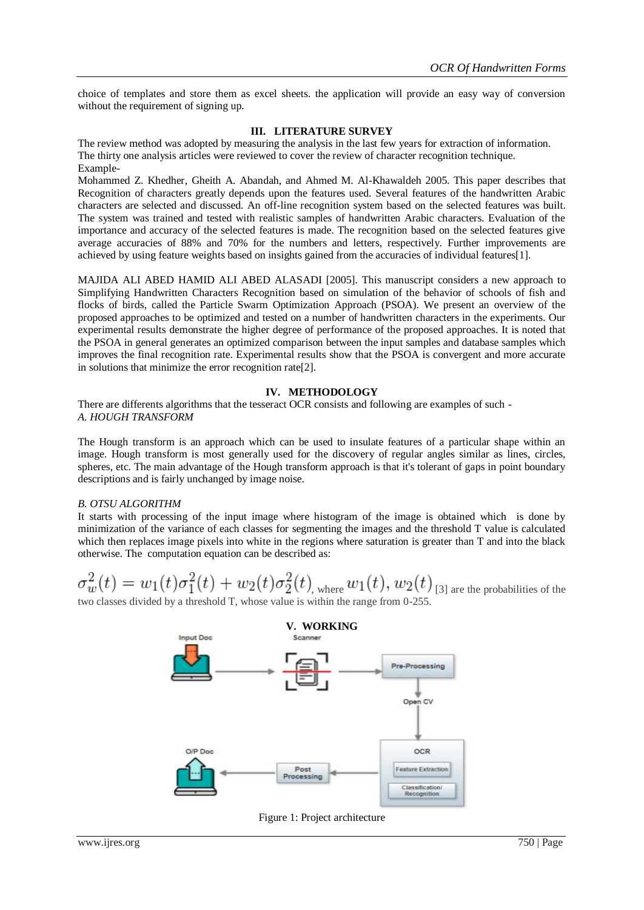choice of templates and store them as excel sheets. the application will provide an easy way of conversion without the requirement of signing up.

### **III. LITERATURE SURVEY**

The review method was adopted by measuring the analysis in the last few years for extraction of information. The thirty one analysis articles were reviewed to cover the review of character recognition technique. Example-

Mohammed Z. Khedher, Gheith A. Abandah, and Ahmed M. Al-Khawaldeh 2005. This paper describes that Recognition of characters greatly depends upon the features used. Several features of the handwritten Arabic characters are selected and discussed. An off-line recognition system based on the selected features was built. The system was trained and tested with realistic samples of handwritten Arabic characters. Evaluation of the importance and accuracy of the selected features is made. The recognition based on the selected features give average accuracies of 88% and 70% for the numbers and letters, respectively. Further improvements are achieved by using feature weights based on insights gained from the accuracies of individual features[1].

MAJIDA ALI ABED HAMID ALI ABED ALASADI [2005]. This manuscript considers a new approach to Simplifying Handwritten Characters Recognition based on simulation of the behavior of schools of fish and flocks of birds, called the Particle Swarm Optimization Approach (PSOA). We present an overview of the proposed approaches to be optimized and tested on a number of handwritten characters in the experiments. Our experimental results demonstrate the higher degree of performance of the proposed approaches. It is noted that the PSOA in general generates an optimized comparison between the input samples and database samples which improves the final recognition rate. Experimental results show that the PSOA is convergent and more accurate in solutions that minimize the error recognition rate[2].

## **IV. METHODOLOGY**

There are differents algorithms that the tesseract OCR consists and following are examples of such - *A. HOUGH TRANSFORM*

The Hough transform is an approach which can be used to insulate features of a particular shape within an image. Hough transform is most generally used for the discovery of regular angles similar as lines, circles, spheres, etc. The main advantage of the Hough transform approach is that it's tolerant of gaps in point boundary descriptions and is fairly unchanged by image noise.

#### *B. OTSU ALGORITHM*

It starts with processing of the input image where histogram of the image is obtained which is done by minimization of the variance of each classes for segmenting the images and the threshold T value is calculated which then replaces image pixels into white in the regions where saturation is greater than T and into the black otherwise. The computation equation can be described as:

$$
\sigma_w^2(t) = w_1(t)\sigma_1^2(t) + w_2(t)\sigma_2^2(t)
$$
, where  $w_1(t)$ ,  $w_2(t)$  [3] are the probabilities of the

two classes divided by a threshold T, whose value is within the range from 0-255.



Figure 1: Project architecture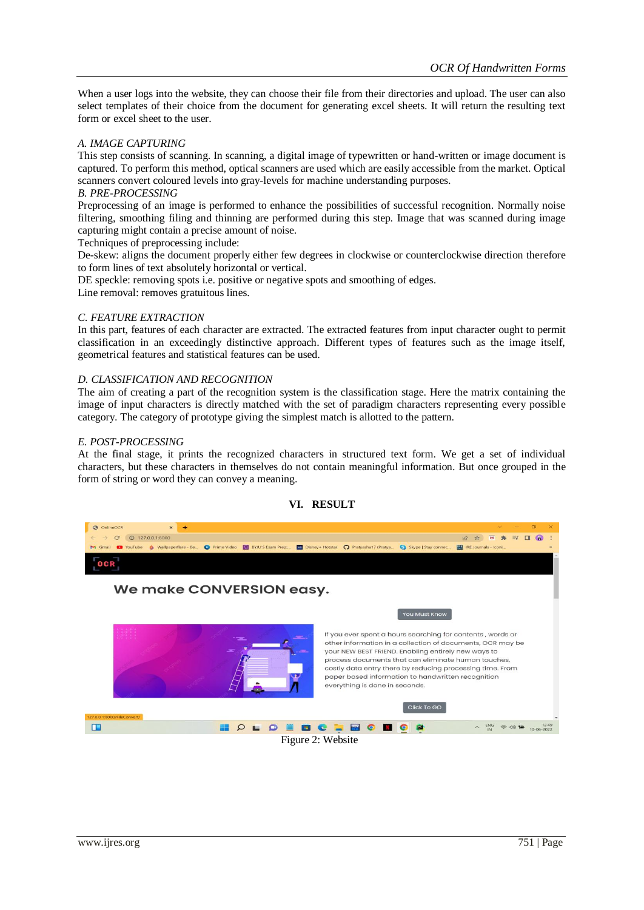When a user logs into the website, they can choose their file from their directories and upload. The user can also select templates of their choice from the document for generating excel sheets. It will return the resulting text form or excel sheet to the user.

## *A. IMAGE CAPTURING*

This step consists of scanning. In scanning, a digital image of typewritten or hand-written or image document is captured. To perform this method, optical scanners are used which are easily accessible from the market. Optical scanners convert coloured levels into gray-levels for machine understanding purposes.

#### *B. PRE-PROCESSING*

Preprocessing of an image is performed to enhance the possibilities of successful recognition. Normally noise filtering, smoothing filing and thinning are performed during this step. Image that was scanned during image capturing might contain a precise amount of noise.

Techniques of preprocessing include:

De-skew: aligns the document properly either few degrees in clockwise or counterclockwise direction therefore to form lines of text absolutely horizontal or vertical.

DE speckle: removing spots i.e. positive or negative spots and smoothing of edges.

Line removal: removes gratuitous lines.

#### *C. FEATURE EXTRACTION*

In this part, features of each character are extracted. The extracted features from input character ought to permit classification in an exceedingly distinctive approach. Different types of features such as the image itself, geometrical features and statistical features can be used.

#### *D. CLASSIFICATION AND RECOGNITION*

The aim of creating a part of the recognition system is the classification stage. Here the matrix containing the image of input characters is directly matched with the set of paradigm characters representing every possible category. The category of prototype giving the simplest match is allotted to the pattern.

#### *E. POST-PROCESSING*

At the final stage, it prints the recognized characters in structured text form. We get a set of individual characters, but these characters in themselves do not contain meaningful information. But once grouped in the form of string or word they can convey a meaning.



#### **VI. RESULT**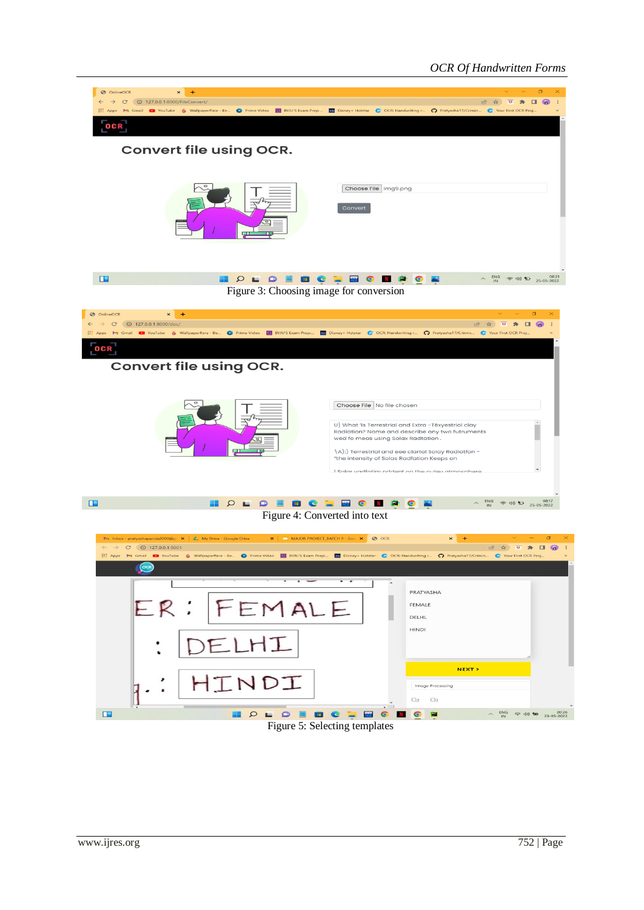# *OCR Of Handwritten Forms*